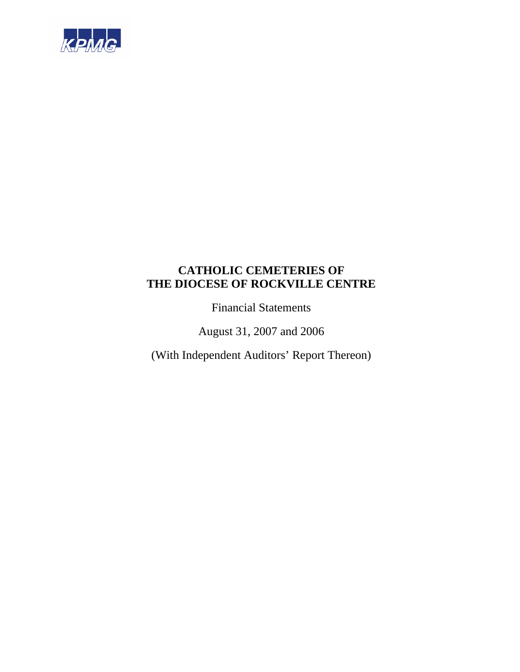

Financial Statements

August 31, 2007 and 2006

(With Independent Auditors' Report Thereon)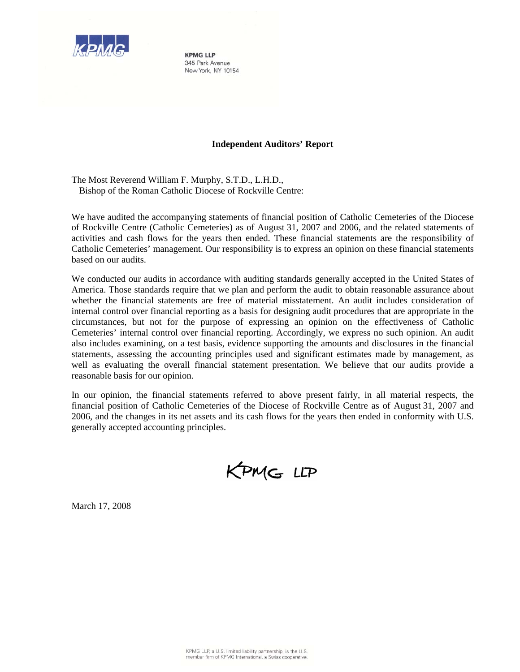

**KPMG LLP** 345 Park Avenue New York, NY 10154

## **Independent Auditors' Report**

The Most Reverend William F. Murphy, S.T.D., L.H.D., Bishop of the Roman Catholic Diocese of Rockville Centre:

We have audited the accompanying statements of financial position of Catholic Cemeteries of the Diocese of Rockville Centre (Catholic Cemeteries) as of August 31, 2007 and 2006, and the related statements of activities and cash flows for the years then ended. These financial statements are the responsibility of Catholic Cemeteries' management. Our responsibility is to express an opinion on these financial statements based on our audits.

We conducted our audits in accordance with auditing standards generally accepted in the United States of America. Those standards require that we plan and perform the audit to obtain reasonable assurance about whether the financial statements are free of material misstatement. An audit includes consideration of internal control over financial reporting as a basis for designing audit procedures that are appropriate in the circumstances, but not for the purpose of expressing an opinion on the effectiveness of Catholic Cemeteries' internal control over financial reporting. Accordingly, we express no such opinion. An audit also includes examining, on a test basis, evidence supporting the amounts and disclosures in the financial statements, assessing the accounting principles used and significant estimates made by management, as well as evaluating the overall financial statement presentation. We believe that our audits provide a reasonable basis for our opinion.

In our opinion, the financial statements referred to above present fairly, in all material respects, the financial position of Catholic Cemeteries of the Diocese of Rockville Centre as of August 31, 2007 and 2006, and the changes in its net assets and its cash flows for the years then ended in conformity with U.S. generally accepted accounting principles.

KPMG LLP

March 17, 2008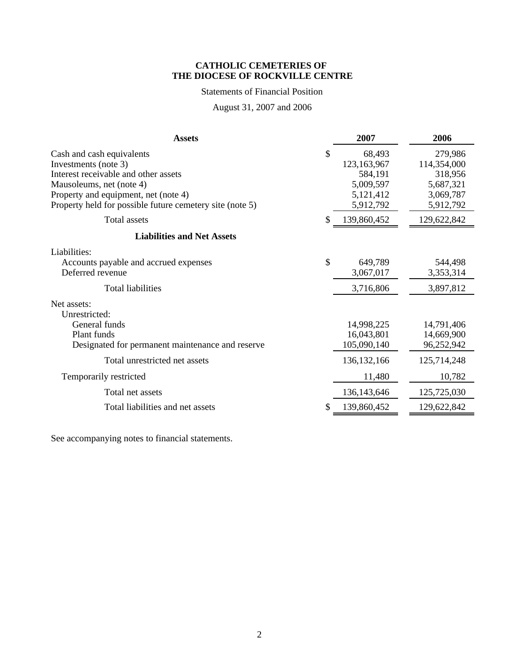## Statements of Financial Position

## August 31, 2007 and 2006

| <b>Assets</b>                                            | 2007          | 2006        |
|----------------------------------------------------------|---------------|-------------|
| \$<br>Cash and cash equivalents                          | 68,493        | 279,986     |
| Investments (note 3)                                     | 123,163,967   | 114,354,000 |
| Interest receivable and other assets                     | 584,191       | 318,956     |
| Mausoleums, net (note 4)                                 | 5,009,597     | 5,687,321   |
| Property and equipment, net (note 4)                     | 5,121,412     | 3,069,787   |
| Property held for possible future cemetery site (note 5) | 5,912,792     | 5,912,792   |
| \$<br><b>Total</b> assets                                | 139,860,452   | 129,622,842 |
| <b>Liabilities and Net Assets</b>                        |               |             |
| Liabilities:                                             |               |             |
| \$<br>Accounts payable and accrued expenses              | 649,789       | 544,498     |
| Deferred revenue                                         | 3,067,017     | 3,353,314   |
| Total liabilities                                        | 3,716,806     | 3,897,812   |
| Net assets:                                              |               |             |
| Unrestricted:                                            |               |             |
| General funds                                            | 14,998,225    | 14,791,406  |
| Plant funds                                              | 16,043,801    | 14,669,900  |
| Designated for permanent maintenance and reserve         | 105,090,140   | 96,252,942  |
| Total unrestricted net assets                            | 136, 132, 166 | 125,714,248 |
| Temporarily restricted                                   | 11,480        | 10,782      |
| Total net assets                                         | 136, 143, 646 | 125,725,030 |
| Total liabilities and net assets<br>S                    | 139,860,452   | 129,622,842 |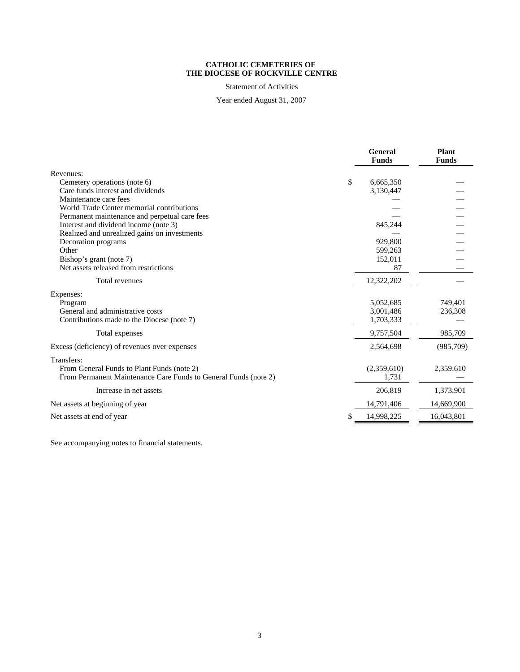Statement of Activities

Year ended August 31, 2007

|                                                                 | General<br><b>Funds</b> | <b>Plant</b><br><b>Funds</b> |
|-----------------------------------------------------------------|-------------------------|------------------------------|
| Revenues:                                                       |                         |                              |
| \$<br>Cemetery operations (note 6)                              | 6,665,350               |                              |
| Care funds interest and dividends                               | 3,130,447               |                              |
| Maintenance care fees                                           |                         |                              |
| World Trade Center memorial contributions                       |                         |                              |
| Permanent maintenance and perpetual care fees                   |                         |                              |
| Interest and dividend income (note 3)                           | 845,244                 |                              |
| Realized and unrealized gains on investments                    |                         |                              |
| Decoration programs<br>Other                                    | 929.800                 |                              |
| Bishop's grant (note 7)                                         | 599,263<br>152,011      |                              |
| Net assets released from restrictions                           | 87                      |                              |
|                                                                 |                         |                              |
| Total revenues                                                  | 12,322,202              |                              |
| Expenses:                                                       |                         |                              |
| Program                                                         | 5,052,685               | 749,401                      |
| General and administrative costs                                | 3,001,486               | 236,308                      |
| Contributions made to the Diocese (note 7)                      | 1,703,333               |                              |
| Total expenses                                                  | 9,757,504               | 985,709                      |
| Excess (deficiency) of revenues over expenses                   | 2,564,698               | (985,709)                    |
| Transfers:                                                      |                         |                              |
| From General Funds to Plant Funds (note 2)                      | (2,359,610)             | 2,359,610                    |
| From Permanent Maintenance Care Funds to General Funds (note 2) | 1,731                   |                              |
| Increase in net assets                                          | 206,819                 | 1,373,901                    |
| Net assets at beginning of year                                 | 14,791,406              | 14,669,900                   |
| Net assets at end of year.                                      | 14,998,225              | 16,043,801                   |
|                                                                 |                         |                              |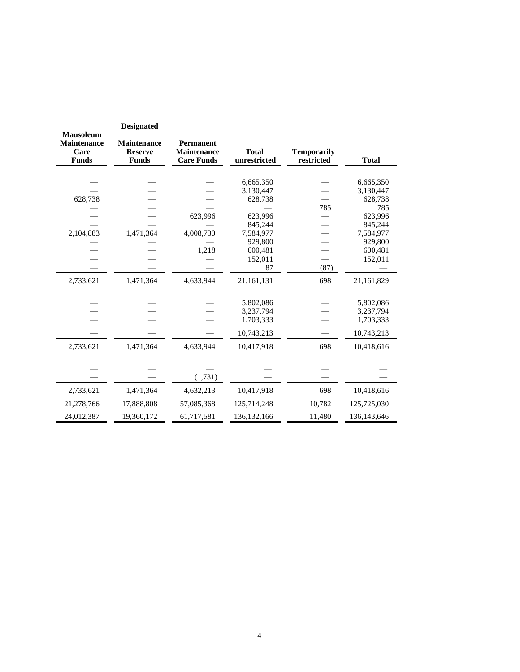|                                                                | <b>Designated</b>                             |                                                             |                              |                                  |               |
|----------------------------------------------------------------|-----------------------------------------------|-------------------------------------------------------------|------------------------------|----------------------------------|---------------|
| <b>Mausoleum</b><br><b>Maintenance</b><br>Care<br><b>Funds</b> | Maintenance<br><b>Reserve</b><br><b>Funds</b> | <b>Permanent</b><br><b>Maintenance</b><br><b>Care Funds</b> | <b>Total</b><br>unrestricted | <b>Temporarily</b><br>restricted | <b>Total</b>  |
|                                                                |                                               |                                                             | 6,665,350                    |                                  | 6,665,350     |
|                                                                |                                               |                                                             | 3,130,447                    |                                  | 3,130,447     |
| 628,738                                                        |                                               |                                                             | 628,738                      |                                  | 628,738       |
|                                                                |                                               |                                                             |                              | 785                              | 785           |
|                                                                |                                               | 623,996                                                     | 623,996                      |                                  | 623,996       |
|                                                                |                                               |                                                             | 845,244                      |                                  | 845,244       |
| 2,104,883                                                      | 1,471,364                                     | 4,008,730                                                   | 7,584,977                    |                                  | 7,584,977     |
|                                                                |                                               |                                                             | 929,800                      |                                  | 929,800       |
|                                                                |                                               | 1,218                                                       | 600,481                      |                                  | 600,481       |
|                                                                |                                               |                                                             | 152,011                      |                                  | 152,011       |
|                                                                |                                               |                                                             | 87                           | (87)                             |               |
| 2,733,621                                                      | 1,471,364                                     | 4,633,944                                                   | 21,161,131                   | 698                              | 21,161,829    |
|                                                                |                                               |                                                             |                              |                                  |               |
|                                                                |                                               |                                                             | 5,802,086                    |                                  | 5,802,086     |
|                                                                |                                               |                                                             | 3,237,794                    |                                  | 3,237,794     |
|                                                                |                                               |                                                             | 1,703,333                    |                                  | 1,703,333     |
|                                                                |                                               |                                                             | 10,743,213                   |                                  | 10,743,213    |
| 2,733,621                                                      | 1,471,364                                     | 4,633,944                                                   | 10,417,918                   | 698                              | 10,418,616    |
|                                                                |                                               |                                                             |                              |                                  |               |
|                                                                |                                               |                                                             |                              |                                  |               |
|                                                                |                                               | (1,731)                                                     |                              |                                  |               |
| 2,733,621                                                      | 1,471,364                                     | 4,632,213                                                   | 10,417,918                   | 698                              | 10,418,616    |
| 21,278,766                                                     | 17,888,808                                    | 57,085,368                                                  | 125,714,248                  | 10,782                           | 125,725,030   |
| 24,012,387                                                     | 19,360,172                                    | 61,717,581                                                  | 136, 132, 166                | 11,480                           | 136, 143, 646 |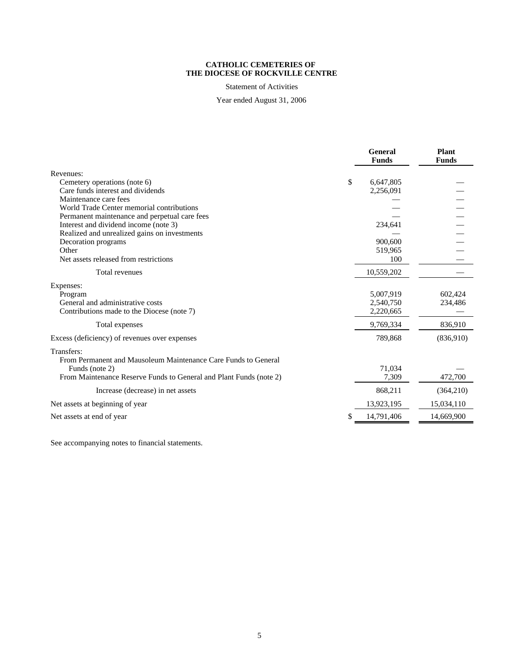Statement of Activities

Year ended August 31, 2006

|                                                                    | <b>General</b><br><b>Funds</b> | Plant<br><b>Funds</b> |
|--------------------------------------------------------------------|--------------------------------|-----------------------|
| Revenues:                                                          |                                |                       |
| Cemetery operations (note 6)                                       | \$<br>6,647,805                |                       |
| Care funds interest and dividends                                  | 2,256,091                      |                       |
| Maintenance care fees                                              |                                |                       |
| World Trade Center memorial contributions                          |                                |                       |
| Permanent maintenance and perpetual care fees                      |                                |                       |
| Interest and dividend income (note 3)                              | 234,641                        |                       |
| Realized and unrealized gains on investments                       |                                |                       |
| Decoration programs                                                | 900,600                        |                       |
| Other                                                              | 519,965                        |                       |
| Net assets released from restrictions                              | 100                            |                       |
| <b>Total revenues</b>                                              | 10,559,202                     |                       |
| Expenses:                                                          |                                |                       |
| Program                                                            | 5,007,919                      | 602,424               |
| General and administrative costs                                   | 2,540,750                      | 234,486               |
| Contributions made to the Diocese (note 7)                         | 2,220,665                      |                       |
| Total expenses                                                     | 9,769,334                      | 836,910               |
| Excess (deficiency) of revenues over expenses                      | 789,868                        | (836,910)             |
| Transfers:                                                         |                                |                       |
| From Permanent and Mausoleum Maintenance Care Funds to General     |                                |                       |
| Funds (note 2)                                                     | 71.034                         |                       |
| From Maintenance Reserve Funds to General and Plant Funds (note 2) | 7,309                          | 472,700               |
| Increase (decrease) in net assets                                  | 868,211                        | (364,210)             |
| Net assets at beginning of year                                    | 13,923,195                     | 15,034,110            |
| Net assets at end of year                                          | 14,791,406                     | 14,669,900            |
|                                                                    |                                |                       |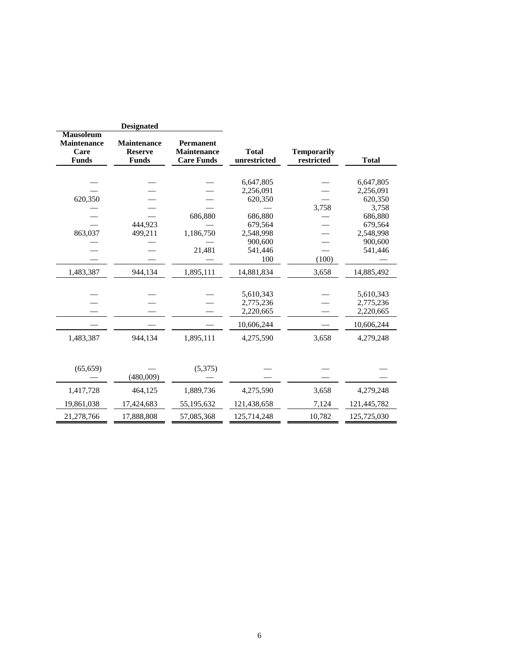|                                                                | <b>Designated</b>                                    |                                                             |                                                                      |                                  |                                                                               |
|----------------------------------------------------------------|------------------------------------------------------|-------------------------------------------------------------|----------------------------------------------------------------------|----------------------------------|-------------------------------------------------------------------------------|
| <b>Mausoleum</b><br><b>Maintenance</b><br>Care<br><b>Funds</b> | <b>Maintenance</b><br><b>Reserve</b><br><b>Funds</b> | <b>Permanent</b><br><b>Maintenance</b><br><b>Care Funds</b> | <b>Total</b><br>unrestricted                                         | <b>Temporarily</b><br>restricted | <b>Total</b>                                                                  |
| 620,350<br>863,037                                             | 444,923<br>499,211                                   | 686,880<br>1,186,750                                        | 6,647,805<br>2,256,091<br>620,350<br>686,880<br>679,564<br>2,548,998 | 3,758                            | 6,647,805<br>2,256,091<br>620,350<br>3,758<br>686,880<br>679,564<br>2,548,998 |
|                                                                |                                                      | 21,481                                                      | 900,600<br>541,446<br>100                                            | (100)                            | 900,600<br>541,446                                                            |
| 1,483,387                                                      | 944,134                                              | 1,895,111                                                   | 14,881,834                                                           | 3,658                            | 14,885,492                                                                    |
|                                                                |                                                      |                                                             | 5,610,343<br>2,775,236<br>2,220,665                                  |                                  | 5,610,343<br>2,775,236<br>2,220,665                                           |
|                                                                |                                                      |                                                             | 10,606,244                                                           |                                  | 10,606,244                                                                    |
| 1,483,387                                                      | 944,134                                              | 1,895,111                                                   | 4,275,590                                                            | 3,658                            | 4,279,248                                                                     |
| (65, 659)                                                      | (480,009)                                            | (5,375)                                                     |                                                                      |                                  |                                                                               |
| 1,417,728                                                      | 464,125                                              | 1,889,736                                                   | 4,275,590                                                            | 3,658                            | 4,279,248                                                                     |
| 19,861,038                                                     | 17,424,683                                           | 55,195,632                                                  | 121,438,658                                                          | 7,124                            | 121,445,782                                                                   |
| 21,278,766                                                     | 17,888,808                                           | 57,085,368                                                  | 125,714,248                                                          | 10,782                           | 125,725,030                                                                   |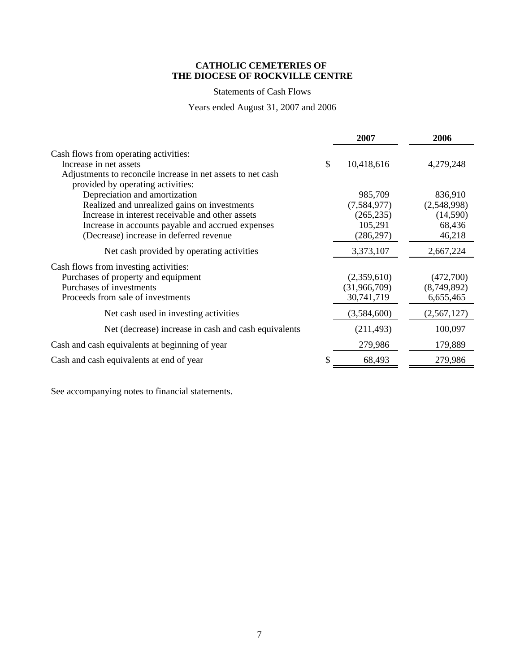## Statements of Cash Flows

## Years ended August 31, 2007 and 2006

|                                                                                                                                                                                                                                                                        | 2007                                                          | 2006                                                   |
|------------------------------------------------------------------------------------------------------------------------------------------------------------------------------------------------------------------------------------------------------------------------|---------------------------------------------------------------|--------------------------------------------------------|
| Cash flows from operating activities:<br>Increase in net assets<br>Adjustments to reconcile increase in net assets to net cash                                                                                                                                         | \$<br>10,418,616                                              | 4,279,248                                              |
| provided by operating activities:<br>Depreciation and amortization<br>Realized and unrealized gains on investments<br>Increase in interest receivable and other assets<br>Increase in accounts payable and accrued expenses<br>(Decrease) increase in deferred revenue | 985,709<br>(7,584,977)<br>(265, 235)<br>105,291<br>(286, 297) | 836,910<br>(2,548,998)<br>(14,590)<br>68,436<br>46,218 |
| Net cash provided by operating activities                                                                                                                                                                                                                              | 3,373,107                                                     | 2,667,224                                              |
| Cash flows from investing activities:<br>Purchases of property and equipment<br>Purchases of investments<br>Proceeds from sale of investments                                                                                                                          | (2,359,610)<br>(31,966,709)<br>30,741,719                     | (472,700)<br>(8,749,892)<br>6,655,465                  |
| Net cash used in investing activities                                                                                                                                                                                                                                  | (3,584,600)                                                   | (2,567,127)                                            |
| Net (decrease) increase in cash and cash equivalents                                                                                                                                                                                                                   | (211, 493)                                                    | 100,097                                                |
| Cash and cash equivalents at beginning of year                                                                                                                                                                                                                         | 279,986                                                       | 179,889                                                |
| Cash and cash equivalents at end of year                                                                                                                                                                                                                               | 68,493                                                        | 279,986                                                |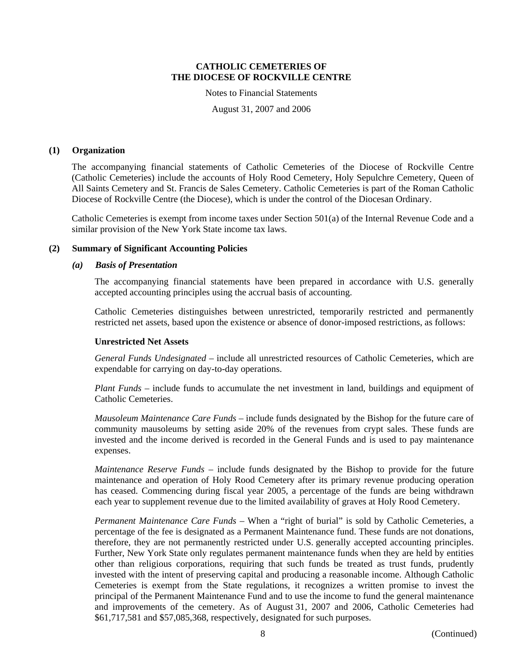Notes to Financial Statements

August 31, 2007 and 2006

#### **(1) Organization**

The accompanying financial statements of Catholic Cemeteries of the Diocese of Rockville Centre (Catholic Cemeteries) include the accounts of Holy Rood Cemetery, Holy Sepulchre Cemetery, Queen of All Saints Cemetery and St. Francis de Sales Cemetery. Catholic Cemeteries is part of the Roman Catholic Diocese of Rockville Centre (the Diocese), which is under the control of the Diocesan Ordinary.

Catholic Cemeteries is exempt from income taxes under Section 501(a) of the Internal Revenue Code and a similar provision of the New York State income tax laws.

## **(2) Summary of Significant Accounting Policies**

#### *(a) Basis of Presentation*

The accompanying financial statements have been prepared in accordance with U.S. generally accepted accounting principles using the accrual basis of accounting.

Catholic Cemeteries distinguishes between unrestricted, temporarily restricted and permanently restricted net assets, based upon the existence or absence of donor-imposed restrictions, as follows:

#### **Unrestricted Net Assets**

*General Funds Undesignated* – include all unrestricted resources of Catholic Cemeteries, which are expendable for carrying on day-to-day operations.

*Plant Funds* – include funds to accumulate the net investment in land, buildings and equipment of Catholic Cemeteries.

*Mausoleum Maintenance Care Funds* – include funds designated by the Bishop for the future care of community mausoleums by setting aside 20% of the revenues from crypt sales. These funds are invested and the income derived is recorded in the General Funds and is used to pay maintenance expenses.

*Maintenance Reserve Funds* – include funds designated by the Bishop to provide for the future maintenance and operation of Holy Rood Cemetery after its primary revenue producing operation has ceased. Commencing during fiscal year 2005, a percentage of the funds are being withdrawn each year to supplement revenue due to the limited availability of graves at Holy Rood Cemetery.

*Permanent Maintenance Care Funds* – When a "right of burial" is sold by Catholic Cemeteries, a percentage of the fee is designated as a Permanent Maintenance fund. These funds are not donations, therefore, they are not permanently restricted under U.S. generally accepted accounting principles. Further, New York State only regulates permanent maintenance funds when they are held by entities other than religious corporations, requiring that such funds be treated as trust funds, prudently invested with the intent of preserving capital and producing a reasonable income. Although Catholic Cemeteries is exempt from the State regulations, it recognizes a written promise to invest the principal of the Permanent Maintenance Fund and to use the income to fund the general maintenance and improvements of the cemetery. As of August 31, 2007 and 2006, Catholic Cemeteries had \$61,717,581 and \$57,085,368, respectively, designated for such purposes.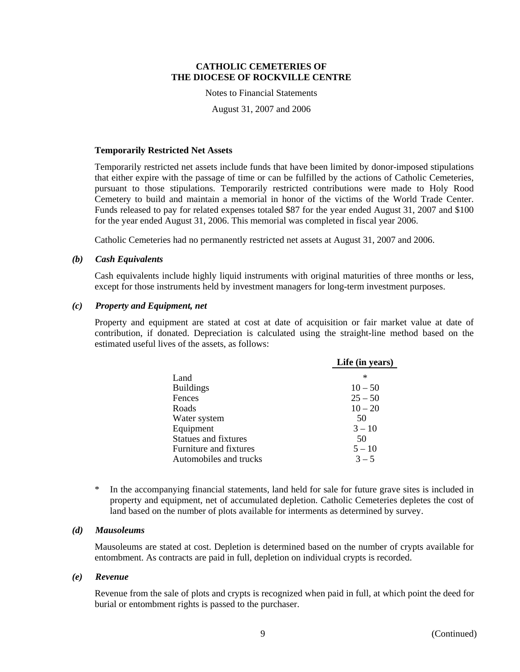Notes to Financial Statements

August 31, 2007 and 2006

#### **Temporarily Restricted Net Assets**

Temporarily restricted net assets include funds that have been limited by donor-imposed stipulations that either expire with the passage of time or can be fulfilled by the actions of Catholic Cemeteries, pursuant to those stipulations. Temporarily restricted contributions were made to Holy Rood Cemetery to build and maintain a memorial in honor of the victims of the World Trade Center. Funds released to pay for related expenses totaled \$87 for the year ended August 31, 2007 and \$100 for the year ended August 31, 2006. This memorial was completed in fiscal year 2006.

Catholic Cemeteries had no permanently restricted net assets at August 31, 2007 and 2006.

#### *(b) Cash Equivalents*

Cash equivalents include highly liquid instruments with original maturities of three months or less, except for those instruments held by investment managers for long-term investment purposes.

#### *(c) Property and Equipment, net*

Property and equipment are stated at cost at date of acquisition or fair market value at date of contribution, if donated. Depreciation is calculated using the straight-line method based on the estimated useful lives of the assets, as follows:

|                             | Life (in years) |
|-----------------------------|-----------------|
| Land                        | ∗               |
| <b>Buildings</b>            | $10 - 50$       |
| Fences                      | $25 - 50$       |
| Roads                       | $10 - 20$       |
| Water system                | 50              |
| Equipment                   | $3 - 10$        |
| <b>Statues and fixtures</b> | 50              |
| Furniture and fixtures      | $5 - 10$        |
| Automobiles and trucks      | $3 - 5$         |

In the accompanying financial statements, land held for sale for future grave sites is included in property and equipment, net of accumulated depletion. Catholic Cemeteries depletes the cost of land based on the number of plots available for interments as determined by survey.

#### *(d) Mausoleums*

Mausoleums are stated at cost. Depletion is determined based on the number of crypts available for entombment. As contracts are paid in full, depletion on individual crypts is recorded.

#### *(e) Revenue*

Revenue from the sale of plots and crypts is recognized when paid in full, at which point the deed for burial or entombment rights is passed to the purchaser.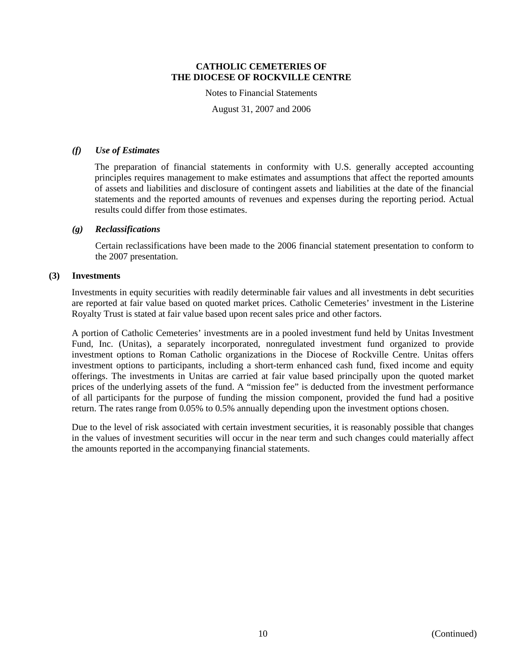Notes to Financial Statements

August 31, 2007 and 2006

### *(f) Use of Estimates*

The preparation of financial statements in conformity with U.S. generally accepted accounting principles requires management to make estimates and assumptions that affect the reported amounts of assets and liabilities and disclosure of contingent assets and liabilities at the date of the financial statements and the reported amounts of revenues and expenses during the reporting period. Actual results could differ from those estimates.

## *(g) Reclassifications*

Certain reclassifications have been made to the 2006 financial statement presentation to conform to the 2007 presentation.

## **(3) Investments**

Investments in equity securities with readily determinable fair values and all investments in debt securities are reported at fair value based on quoted market prices. Catholic Cemeteries' investment in the Listerine Royalty Trust is stated at fair value based upon recent sales price and other factors.

A portion of Catholic Cemeteries' investments are in a pooled investment fund held by Unitas Investment Fund, Inc. (Unitas), a separately incorporated, nonregulated investment fund organized to provide investment options to Roman Catholic organizations in the Diocese of Rockville Centre. Unitas offers investment options to participants, including a short-term enhanced cash fund, fixed income and equity offerings. The investments in Unitas are carried at fair value based principally upon the quoted market prices of the underlying assets of the fund. A "mission fee" is deducted from the investment performance of all participants for the purpose of funding the mission component, provided the fund had a positive return. The rates range from 0.05% to 0.5% annually depending upon the investment options chosen.

Due to the level of risk associated with certain investment securities, it is reasonably possible that changes in the values of investment securities will occur in the near term and such changes could materially affect the amounts reported in the accompanying financial statements.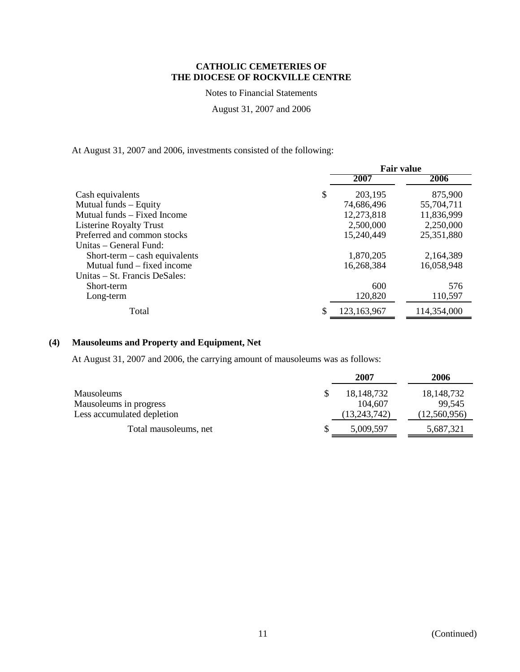Notes to Financial Statements

August 31, 2007 and 2006

At August 31, 2007 and 2006, investments consisted of the following:

|                                |     | <b>Fair value</b> |             |  |  |
|--------------------------------|-----|-------------------|-------------|--|--|
|                                |     | 2007              | 2006        |  |  |
| Cash equivalents               | \$  | 203,195           | 875,900     |  |  |
| Mutual funds – Equity          |     | 74,686,496        | 55,704,711  |  |  |
| Mutual funds – Fixed Income    |     | 12,273,818        | 11,836,999  |  |  |
| <b>Listerine Royalty Trust</b> |     | 2,500,000         | 2,250,000   |  |  |
| Preferred and common stocks    |     | 15,240,449        | 25,351,880  |  |  |
| Unitas – General Fund:         |     |                   |             |  |  |
| Short-term – cash equivalents  |     | 1,870,205         | 2,164,389   |  |  |
| Mutual fund – fixed income     |     | 16,268,384        | 16,058,948  |  |  |
| Unitas – St. Francis DeSales:  |     |                   |             |  |  |
| Short-term                     |     | 600               | 576         |  |  |
| Long-term                      |     | 120,820           | 110,597     |  |  |
| Total                          | \$. | 123,163,967       | 114,354,000 |  |  |

## **(4) Mausoleums and Property and Equipment, Net**

At August 31, 2007 and 2006, the carrying amount of mausoleums was as follows:

|                            | 2007         | 2006         |
|----------------------------|--------------|--------------|
| <b>Mausoleums</b>          | 18, 148, 732 | 18, 148, 732 |
| Mausoleums in progress     | 104.607      | 99,545       |
| Less accumulated depletion | (13,243,742) | (12,560,956) |
| Total mausoleums, net      | 5,009,597    | 5,687,321    |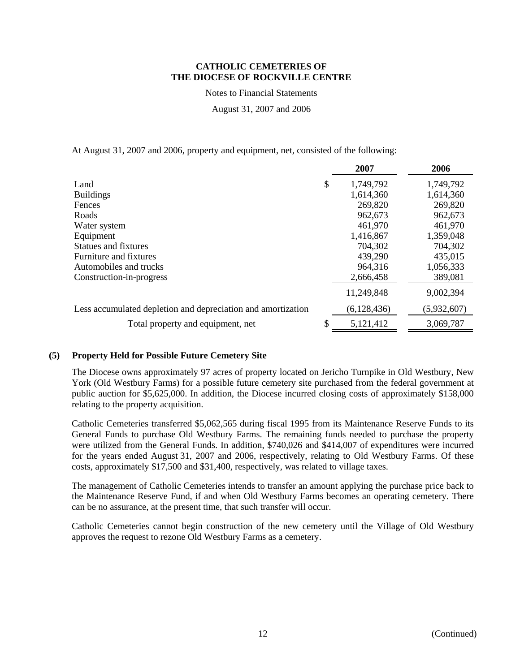Notes to Financial Statements

August 31, 2007 and 2006

At August 31, 2007 and 2006, property and equipment, net, consisted of the following:

|                                                              | 2007            | 2006        |
|--------------------------------------------------------------|-----------------|-------------|
| Land                                                         | \$<br>1,749,792 | 1,749,792   |
| <b>Buildings</b>                                             | 1,614,360       | 1,614,360   |
| Fences                                                       | 269,820         | 269,820     |
| Roads                                                        | 962,673         | 962,673     |
| Water system                                                 | 461,970         | 461,970     |
| Equipment                                                    | 1,416,867       | 1,359,048   |
| Statues and fixtures                                         | 704,302         | 704,302     |
| Furniture and fixtures                                       | 439,290         | 435,015     |
| Automobiles and trucks                                       | 964,316         | 1,056,333   |
| Construction-in-progress                                     | 2,666,458       | 389,081     |
|                                                              | 11,249,848      | 9,002,394   |
| Less accumulated depletion and depreciation and amortization | (6,128,436)     | (5,932,607) |
| Total property and equipment, net                            | 5,121,412       | 3,069,787   |

## **(5) Property Held for Possible Future Cemetery Site**

The Diocese owns approximately 97 acres of property located on Jericho Turnpike in Old Westbury, New York (Old Westbury Farms) for a possible future cemetery site purchased from the federal government at public auction for \$5,625,000. In addition, the Diocese incurred closing costs of approximately \$158,000 relating to the property acquisition.

Catholic Cemeteries transferred \$5,062,565 during fiscal 1995 from its Maintenance Reserve Funds to its General Funds to purchase Old Westbury Farms. The remaining funds needed to purchase the property were utilized from the General Funds. In addition, \$740,026 and \$414,007 of expenditures were incurred for the years ended August 31, 2007 and 2006, respectively, relating to Old Westbury Farms. Of these costs, approximately \$17,500 and \$31,400, respectively, was related to village taxes.

The management of Catholic Cemeteries intends to transfer an amount applying the purchase price back to the Maintenance Reserve Fund, if and when Old Westbury Farms becomes an operating cemetery. There can be no assurance, at the present time, that such transfer will occur.

Catholic Cemeteries cannot begin construction of the new cemetery until the Village of Old Westbury approves the request to rezone Old Westbury Farms as a cemetery.